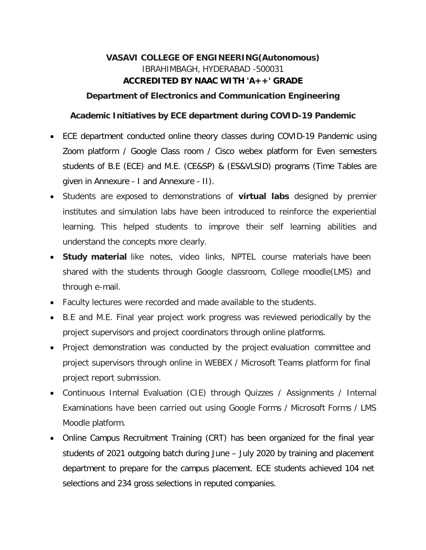# **VASAVI COLLEGE OF ENGINEERING(Autonomous)** IBRAHIMBAGH, HYDERABAD -500031 **ACCREDITED BY NAAC WITH 'A++' GRADE**

#### **Department of Electronics and Communication Engineering**

#### **Academic Initiatives by ECE department during COVID-19 Pandemic**

- ECE department conducted online theory classes during COVID-19 Pandemic using Zoom platform / Google Class room / Cisco webex platform for Even semesters students of B.E (ECE) and M.E. (CE&SP) & (ES&VLSID) programs (Time Tables are given in Annexure - I and Annexure - II).
- Students are exposed to demonstrations of **virtual labs** designed by premier institutes and simulation labs have been introduced to reinforce the experiential learning. This helped students to improve their self learning abilities and understand the concepts more clearly.
- **Study material** like notes, video links, NPTEL course materials have been shared with the students through Google classroom, College moodle(LMS) and through e-mail.
- Faculty lectures were recorded and made available to the students.
- B.E and M.E. Final year project work progress was reviewed periodically by the project supervisors and project coordinators through online platforms.
- Project demonstration was conducted by the project evaluation committee and project supervisors through online in WEBEX / Microsoft Teams platform for final project report submission.
- Continuous Internal Evaluation (CIE) through Quizzes / Assignments / Internal Examinations have been carried out using Google Forms / Microsoft Forms / LMS Moodle platform.
- Online Campus Recruitment Training (CRT) has been organized for the final year students of 2021 outgoing batch during June – July 2020 by training and placement department to prepare for the campus placement. ECE students achieved 104 net selections and 234 gross selections in reputed companies.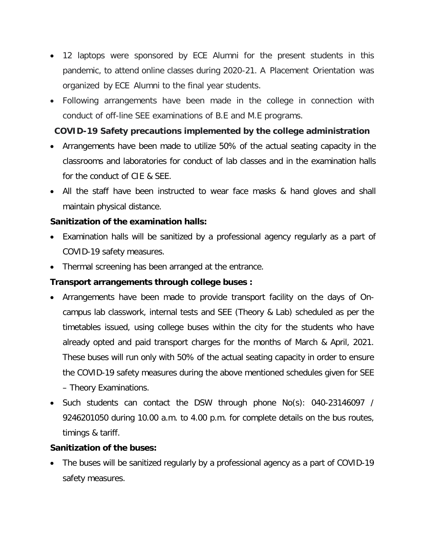- 12 laptops were sponsored by ECE Alumni for the present students in this pandemic, to attend online classes during 2020-21. A Placement Orientation was organized by ECE Alumni to the final year students.
- Following arrangements have been made in the college in connection with conduct of off-line SEE examinations of B.E and M.E programs.

## **COVID-19 Safety precautions implemented by the college administration**

- Arrangements have been made to utilize 50% of the actual seating capacity in the classrooms and laboratories for conduct of lab classes and in the examination halls for the conduct of CIE & SEE.
- All the staff have been instructed to wear face masks & hand gloves and shall maintain physical distance.

### **Sanitization of the examination halls:**

- Examination halls will be sanitized by a professional agency regularly as a part of COVID-19 safety measures.
- Thermal screening has been arranged at the entrance.

## **Transport arrangements through college buses :**

- Arrangements have been made to provide transport facility on the days of Oncampus lab classwork, internal tests and SEE (Theory & Lab) scheduled as per the timetables issued, using college buses within the city for the students who have already opted and paid transport charges for the months of March & April, 2021. These buses will run only with 50% of the actual seating capacity in order to ensure the COVID-19 safety measures during the above mentioned schedules given for SEE – Theory Examinations.
- Such students can contact the DSW through phone No(s): 040-23146097 / 9246201050 during 10.00 a.m. to 4.00 p.m. for complete details on the bus routes, timings & tariff.

### **Sanitization of the buses:**

• The buses will be sanitized regularly by a professional agency as a part of COVID-19 safety measures.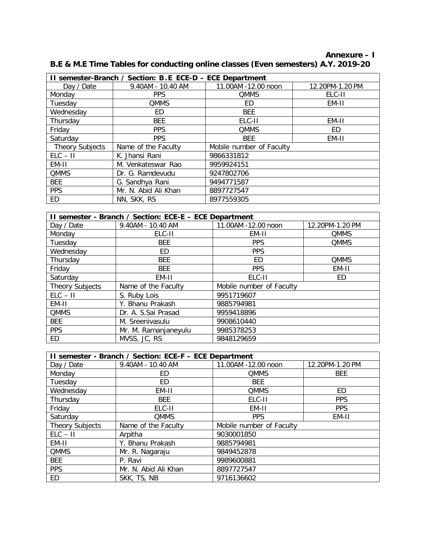**Annexure – I B.E & M.E Time Tables for conducting online classes (Even semesters) A.Y. 2019-20**

| II semester-Branch / Section: B.E ECE-D - ECE Department |                      |                          |                 |  |  |  |  |
|----------------------------------------------------------|----------------------|--------------------------|-----------------|--|--|--|--|
| Day / Date                                               | 9.40AM - 10.40 AM    | 11.00AM -12.00 noon      | 12.20PM-1.20 PM |  |  |  |  |
| Monday                                                   | <b>PPS</b>           | <b>QMMS</b>              | ELC-II          |  |  |  |  |
| Tuesdav                                                  | <b>QMMS</b>          | ED                       | EM-II           |  |  |  |  |
| Wednesday                                                | ED                   | <b>BEE</b>               |                 |  |  |  |  |
| Thursday                                                 | <b>BEE</b>           | ELC-II                   | EM-II           |  |  |  |  |
| Friday                                                   | <b>PPS</b>           | <b>QMMS</b>              | ED              |  |  |  |  |
| Saturday                                                 | <b>PPS</b>           | <b>BEE</b>               | EM-II           |  |  |  |  |
| <b>Theory Subjects</b>                                   | Name of the Faculty  | Mobile number of Faculty |                 |  |  |  |  |
| $ELC - II$                                               | K. Jhansi Rani       | 9866331812               |                 |  |  |  |  |
| EM-II                                                    | M. Venkateswar Rao   | 9959924151               |                 |  |  |  |  |
| <b>QMMS</b>                                              | Dr. G. Ramdevudu     | 9247802706               |                 |  |  |  |  |
| <b>BEE</b>                                               | G. Sandhya Rani      | 9494771587               |                 |  |  |  |  |
| <b>PPS</b>                                               | Mr. N. Abid Ali Khan | 8897727547               |                 |  |  |  |  |
| ED.                                                      | NN, SKK, RS          | 8977559305               |                 |  |  |  |  |

| II semester - Branch / Section: ECE-E - ECE Department |                      |                          |                 |  |  |  |  |
|--------------------------------------------------------|----------------------|--------------------------|-----------------|--|--|--|--|
| Day / Date                                             | 9.40AM - 10.40 AM    | 11.00AM -12.00 noon      | 12.20PM-1.20 PM |  |  |  |  |
| Monday                                                 | ELC-II               | EM-II                    | <b>QMMS</b>     |  |  |  |  |
| Tuesdav                                                | <b>BEE</b>           | <b>PPS</b>               | <b>QMMS</b>     |  |  |  |  |
| Wednesday                                              | ED                   | <b>PPS</b>               |                 |  |  |  |  |
| Thursday                                               | <b>BEE</b>           | ED.                      | <b>QMMS</b>     |  |  |  |  |
| Friday                                                 | <b>BEE</b>           | <b>PPS</b>               | EM-II           |  |  |  |  |
| Saturday                                               | EM-II                | ELC-II                   | ED              |  |  |  |  |
| Theory Subjects                                        | Name of the Faculty  | Mobile number of Faculty |                 |  |  |  |  |
| $ELC - II$                                             | S. Ruby Lois         | 9951719607               |                 |  |  |  |  |
| EM-II                                                  | Y. Bhanu Prakash     | 9885794981               |                 |  |  |  |  |
| <b>QMMS</b>                                            | Dr. A. S.Sai Prasad  | 9959418896               |                 |  |  |  |  |
| <b>BEE</b>                                             | M. Sreenivasulu      | 9908610440               |                 |  |  |  |  |
| <b>PPS</b>                                             | Mr. M. Ramanjaneyulu | 9985378253               |                 |  |  |  |  |
| ED                                                     | MVSS, JC, RS         | 9848129659               |                 |  |  |  |  |

| II semester - Branch / Section: ECE-F - ECE Department |                      |                          |                 |  |  |  |
|--------------------------------------------------------|----------------------|--------------------------|-----------------|--|--|--|
| Day / Date                                             | 9.40AM - 10.40 AM    | 11.00AM -12.00 noon      | 12.20PM-1.20 PM |  |  |  |
| Monday                                                 | ED                   | <b>QMMS</b>              | <b>BEE</b>      |  |  |  |
| Tuesday                                                | ED                   | <b>BEE</b>               |                 |  |  |  |
| Wednesday                                              | EM-II                | <b>QMMS</b>              | ED              |  |  |  |
| Thursday                                               | <b>BEE</b>           | ELC-II                   | <b>PPS</b>      |  |  |  |
| Friday                                                 | ELC-II               | EM-II                    | <b>PPS</b>      |  |  |  |
| Saturday                                               | <b>QMMS</b>          | <b>PPS</b>               | EM-II           |  |  |  |
| <b>Theory Subjects</b>                                 | Name of the Faculty  | Mobile number of Faculty |                 |  |  |  |
| $ELC - II$                                             | Arpitha              | 9030001850               |                 |  |  |  |
| EM-II                                                  | Y. Bhanu Prakash     | 9885794981               |                 |  |  |  |
| <b>QMMS</b>                                            | Mr. R. Nagaraju      | 9849452878               |                 |  |  |  |
| <b>BEE</b>                                             | P. Ravi              | 9989600881               |                 |  |  |  |
| <b>PPS</b>                                             | Mr. N. Abid Ali Khan | 8897727547               |                 |  |  |  |
| ED                                                     | SKK, TS, NB          | 9716136602               |                 |  |  |  |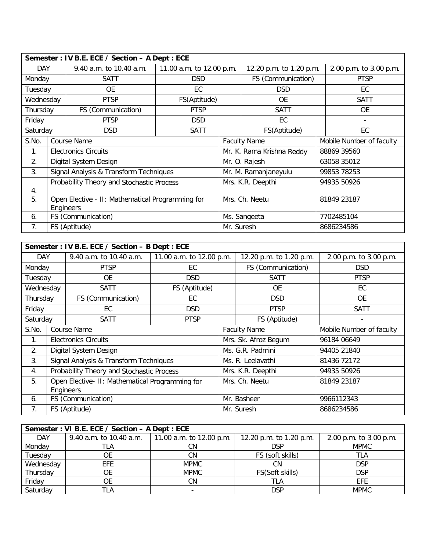| Semester: IV B.E. ECE / Section - A Dept : ECE |                                                               |                                           |                          |                           |                         |                          |
|------------------------------------------------|---------------------------------------------------------------|-------------------------------------------|--------------------------|---------------------------|-------------------------|--------------------------|
| <b>DAY</b>                                     |                                                               | 9.40 a.m. to 10.40 a.m.                   | 11.00 a.m. to 12.00 p.m. |                           | 12.20 p.m. to 1.20 p.m. | 2.00 p.m. to 3.00 p.m.   |
| Monday                                         |                                                               | SATT                                      | <b>DSD</b>               |                           | FS (Communication)      | <b>PTSP</b>              |
| Tuesday                                        |                                                               | <b>OE</b>                                 | EC                       |                           | <b>DSD</b>              | EC                       |
| Wednesday                                      |                                                               | <b>PTSP</b>                               | FS(Aptitude)             |                           | <b>OE</b>               | <b>SATT</b>              |
| Thursday                                       |                                                               | FS (Communication)                        | <b>PTSP</b>              |                           | <b>SATT</b>             | <b>OE</b>                |
| Friday                                         |                                                               | <b>PTSP</b>                               | <b>DSD</b>               |                           | EC                      |                          |
| Saturday                                       |                                                               | <b>DSD</b>                                | <b>SATT</b>              |                           | FS(Aptitude)            | EC                       |
| S.No.                                          | Course Name                                                   |                                           |                          | <b>Faculty Name</b>       |                         | Mobile Number of faculty |
| 1.                                             |                                                               | <b>Electronics Circuits</b>               |                          | Mr. K. Rama Krishna Reddy |                         | 88869 39560              |
| 2.                                             |                                                               | Digital System Design                     |                          | Mr. O. Rajesh             |                         | 63058 35012              |
| 3.                                             |                                                               | Signal Analysis & Transform Techniques    |                          | Mr. M. Ramanjaneyulu      |                         | 99853 78253              |
|                                                |                                                               | Probability Theory and Stochastic Process |                          | Mrs. K.R. Deepthi         |                         | 94935 50926              |
| 4.                                             |                                                               |                                           |                          |                           |                         |                          |
| 5.                                             | Open Elective - II: Mathematical Programming for<br>Engineers |                                           |                          |                           | Mrs. Ch. Neetu          | 81849 23187              |
| 6.                                             |                                                               | FS (Communication)                        |                          | Ms. Sangeeta              |                         | 7702485104               |
| 7.                                             |                                                               | FS (Aptitude)                             |                          | Mr. Suresh                |                         | 8686234586               |

| Semester: IV B.E. ECE / Section - B Dept : ECE |                                                 |                                           |                          |                |                         |                          |  |
|------------------------------------------------|-------------------------------------------------|-------------------------------------------|--------------------------|----------------|-------------------------|--------------------------|--|
| <b>DAY</b>                                     |                                                 | 9.40 a.m. to 10.40 a.m.                   | 11.00 a.m. to 12.00 p.m. |                | 12.20 p.m. to 1.20 p.m. | 2.00 p.m. to 3.00 p.m.   |  |
| Monday                                         |                                                 | <b>PTSP</b>                               | EC.                      |                | FS (Communication)      | <b>DSD</b>               |  |
| Tuesday                                        |                                                 | <b>OE</b>                                 | <b>DSD</b>               |                | <b>SATT</b>             | <b>PTSP</b>              |  |
| Wednesday                                      |                                                 | <b>SATT</b>                               | FS (Aptitude)            |                | <b>OE</b>               | EC                       |  |
| Thursday                                       |                                                 | FS (Communication)                        | EC                       |                | <b>DSD</b>              | <b>OE</b>                |  |
| Friday                                         |                                                 | EC                                        | <b>DSD</b>               |                | <b>PTSP</b>             | <b>SATT</b>              |  |
| Saturday                                       |                                                 | <b>SATT</b>                               | <b>PTSP</b>              |                | FS (Aptitude)           | $\overline{\phantom{a}}$ |  |
| S.No.                                          |                                                 | Course Name                               |                          |                | <b>Faculty Name</b>     | Mobile Number of faculty |  |
| 1 <sub>1</sub>                                 |                                                 | <b>Electronics Circuits</b>               |                          |                | Mrs. Sk. Afroz Begum    | 96184 06649              |  |
| 2.                                             |                                                 | Digital System Design                     |                          |                | Ms. G.R. Padmini        | 94405 21840              |  |
| 3.                                             |                                                 | Signal Analysis & Transform Techniques    |                          |                | Ms. R. Leelavathi       | 81436 72172              |  |
| 4.                                             |                                                 | Probability Theory and Stochastic Process |                          |                | Mrs. K.R. Deepthi       | 94935 50926              |  |
| 5.                                             | Open Elective- II: Mathematical Programming for |                                           |                          | Mrs. Ch. Neetu | 81849 23187             |                          |  |
|                                                | Engineers                                       |                                           |                          |                |                         |                          |  |
| 6.                                             |                                                 | FS (Communication)                        |                          |                | Mr. Basheer             | 9966112343               |  |
| 7.                                             |                                                 | FS (Aptitude)                             |                          |                | Mr. Suresh              | 8686234586               |  |

| Semester: VI B.E. ECE / Section - A Dept : ECE |                         |                          |                         |                        |  |  |
|------------------------------------------------|-------------------------|--------------------------|-------------------------|------------------------|--|--|
| <b>DAY</b>                                     | 9.40 a.m. to 10.40 a.m. | 11.00 a.m. to 12.00 p.m. | 12.20 p.m. to 1.20 p.m. | 2.00 p.m. to 3.00 p.m. |  |  |
| Monday                                         | TLA                     | CΝ                       | <b>DSP</b>              | <b>MPMC</b>            |  |  |
| Tuesday                                        |                         | CΝ                       | FS (soft skills)        | TLA                    |  |  |
| Wednesday                                      | <b>EFE</b>              | <b>MPMC</b>              | CΝ                      | <b>DSP</b>             |  |  |
| Thursday                                       | OE                      | <b>MPMC</b>              | FS(Soft skills)         | <b>DSP</b>             |  |  |
| Friday                                         |                         | CΝ                       | tla                     | EFE                    |  |  |
| Saturday                                       | TLA                     |                          | <b>DSP</b>              | <b>MPMC</b>            |  |  |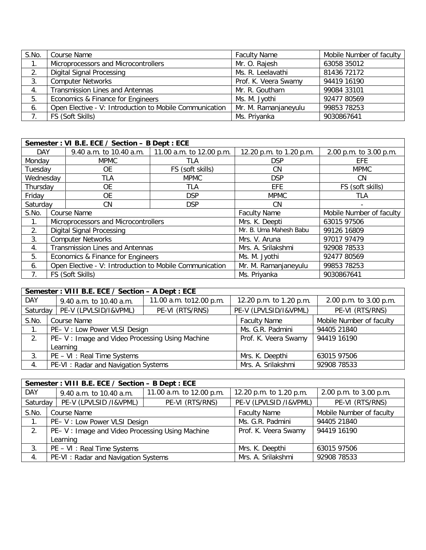| S.No. | Course Name                                             | <b>Faculty Name</b>  | Mobile Number of faculty |
|-------|---------------------------------------------------------|----------------------|--------------------------|
| 1.    | Microprocessors and Microcontrollers                    | Mr. O. Rajesh        | 63058 35012              |
| 2.    | <b>Digital Signal Processing</b>                        | Ms. R. Leelavathi    | 81436 72172              |
| 3.    | <b>Computer Networks</b>                                | Prof. K. Veera Swamy | 94419 16190              |
| 4.    | <b>Transmission Lines and Antennas</b>                  | Mr. R. Goutham       | 99084 33101              |
| 5.    | Economics & Finance for Engineers                       | Ms. M. Jyothi        | 92477 80569              |
| 6.    | Open Elective - V: Introduction to Mobile Communication | Mr. M. Ramanjaneyulu | 99853 78253              |
|       | FS (Soft Skills)                                        | Ms. Priyanka         | 9030867641               |

|            | Semester: VI B.E. ECE / Section - B Dept: ECE |                                                         |                          |                         |                          |  |  |
|------------|-----------------------------------------------|---------------------------------------------------------|--------------------------|-------------------------|--------------------------|--|--|
| <b>DAY</b> |                                               | 9.40 a.m. to 10.40 a.m.                                 | 11.00 a.m. to 12.00 p.m. | 12.20 p.m. to 1.20 p.m. | 2.00 p.m. to 3.00 p.m.   |  |  |
| Monday     |                                               | <b>MPMC</b>                                             | <b>TLA</b>               | <b>DSP</b>              | EFE                      |  |  |
| Tuesday    |                                               | 0E                                                      | FS (soft skills)         | CN.                     | <b>MPMC</b>              |  |  |
| Wednesday  |                                               | <b>TLA</b>                                              | <b>MPMC</b>              | <b>DSP</b>              | CN.                      |  |  |
| Thursday   |                                               | <b>OE</b>                                               | <b>TLA</b>               | <b>EFE</b>              | FS (soft skills)         |  |  |
| Friday     |                                               | 0E                                                      | <b>DSP</b>               | <b>MPMC</b>             | TLA                      |  |  |
| Saturday   |                                               | CN.                                                     | <b>DSP</b>               | CN.                     |                          |  |  |
| S.No.      |                                               | Course Name                                             |                          | <b>Faculty Name</b>     | Mobile Number of faculty |  |  |
| 1.         |                                               | Microprocessors and Microcontrollers                    |                          | Mrs. K. Deepti          | 63015 97506              |  |  |
| 2.         |                                               | Digital Signal Processing                               |                          | Mr. B. Uma Mahesh Babu  | 99126 16809              |  |  |
| 3.         |                                               | <b>Computer Networks</b>                                |                          | Mrs. V. Aruna           | 97017 97479              |  |  |
| 4.         |                                               | <b>Transmission Lines and Antennas</b>                  |                          | Mrs. A. Srilakshmi      | 92908 78533              |  |  |
| 5.         |                                               | Economics & Finance for Engineers                       |                          | Ms. M. Jyothi           | 92477 80569              |  |  |
| 6.         |                                               | Open Elective - V: Introduction to Mobile Communication |                          | Mr. M. Ramanjaneyulu    | 99853 78253              |  |  |
| 7.         |                                               | FS (Soft Skills)                                        |                          | Ms. Priyanka            | 9030867641               |  |  |

| Semester: VIII B.E. ECE / Section - A Dept : ECE |                                                 |                         |                         |                          |  |  |  |
|--------------------------------------------------|-------------------------------------------------|-------------------------|-------------------------|--------------------------|--|--|--|
| <b>DAY</b>                                       | 9.40 a.m. to 10.40 a.m.                         | 11.00 a.m. to12.00 p.m. | 12.20 p.m. to 1.20 p.m. | 2.00 p.m. to 3.00 p.m.   |  |  |  |
| Saturday                                         | PE-V (LPVLSID/I&VPML)                           | PE-VI (RTS/RNS)         | PE-V (LPVLSID/I&VPML)   | PE-VI (RTS/RNS)          |  |  |  |
| S.No.                                            | Course Name                                     |                         | <b>Faculty Name</b>     | Mobile Number of faculty |  |  |  |
|                                                  | PE- V: Low Power VLSI Design                    |                         | Ms. G.R. Padmini        | 94405 21840              |  |  |  |
| 2.                                               | PE- V: Image and Video Processing Using Machine |                         | Prof. K. Veera Swamy    | 94419 16190              |  |  |  |
|                                                  | Learning                                        |                         |                         |                          |  |  |  |
| 3.                                               | PE - VI : Real Time Systems                     |                         | Mrs. K. Deepthi         | 63015 97506              |  |  |  |
| 4.                                               | PE-VI: Radar and Navigation Systems             |                         | Mrs. A. Srilakshmi      | 92908 78533              |  |  |  |

| Semester: VIII B.E. ECE / Section - B Dept : ECE |                                                |                          |                         |                          |  |  |
|--------------------------------------------------|------------------------------------------------|--------------------------|-------------------------|--------------------------|--|--|
| <b>DAY</b>                                       | 9.40 a.m. to 10.40 a.m.                        | 11.00 a.m. to 12.00 p.m. | 12.20 p.m. to 1.20 p.m. | 2.00 p.m. to 3.00 p.m.   |  |  |
| Saturday                                         | PE-V (LPVLSID /I&VPML)                         | PE-VI (RTS/RNS)          | PE-V (LPVLSID /I&VPML)  | PE-VI (RTS/RNS)          |  |  |
| S.No.                                            | Course Name                                    |                          | <b>Faculty Name</b>     | Mobile Number of faculty |  |  |
| $1_{\cdot}$                                      | PE- V: Low Power VLSI Design                   |                          | Ms. G.R. Padmini        | 94405 21840              |  |  |
| 2.                                               | PE-V: Image and Video Processing Using Machine |                          | Prof. K. Veera Swamy    | 94419 16190              |  |  |
|                                                  | Learning                                       |                          |                         |                          |  |  |
| 3.                                               | PE - VI : Real Time Systems                    |                          | Mrs. K. Deepthi         | 63015 97506              |  |  |
| 4.                                               | PE-VI: Radar and Navigation Systems            |                          | Mrs. A. Srilakshmi      | 92908 78533              |  |  |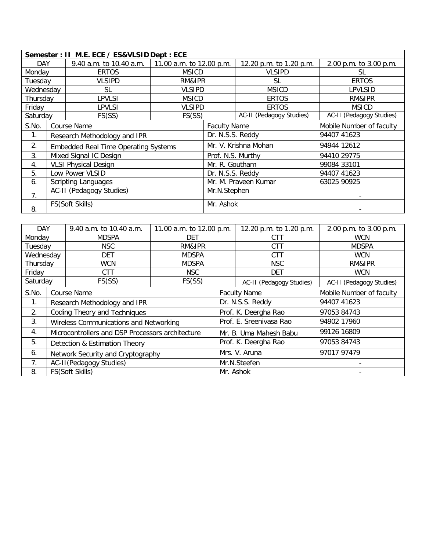|            | Semester: II M.E. ECE / ES&VLSID Dept : ECE |                                             |                          |                      |                          |                          |  |
|------------|---------------------------------------------|---------------------------------------------|--------------------------|----------------------|--------------------------|--------------------------|--|
| <b>DAY</b> |                                             | 9.40 a.m. to 10.40 a.m.                     | 11.00 a.m. to 12.00 p.m. |                      | 12.20 p.m. to 1.20 p.m.  | 2.00 p.m. to 3.00 p.m.   |  |
| Monday     |                                             | <b>ERTOS</b>                                | <b>MSICD</b>             |                      | <b>VLSIPD</b>            | SL                       |  |
| Tuesday    |                                             | <b>VLSIPD</b>                               | RM&IPR                   |                      | SL                       | <b>ERTOS</b>             |  |
| Wednesday  |                                             | SL                                          | <b>VLSIPD</b>            |                      | <b>MSICD</b>             | LPVLSID                  |  |
| Thursdav   |                                             | LPVLSI                                      | <b>MSICD</b>             |                      | <b>ERTOS</b>             | RM&IPR                   |  |
| Friday     |                                             | LPVLSI                                      | <b>VLSIPD</b>            |                      | <b>ERTOS</b>             | <b>MSICD</b>             |  |
| Saturday   |                                             | FS(SS)                                      | FS(SS)                   |                      | AC-II (Pedagogy Studies) | AC-II (Pedagogy Studies) |  |
| S.No.      |                                             | Course Name                                 |                          | <b>Faculty Name</b>  |                          | Mobile Number of faculty |  |
| 1.         |                                             | Research Methodology and IPR                |                          | Dr. N.S.S. Reddy     |                          | 94407 41623              |  |
| 2.         |                                             | <b>Embedded Real Time Operating Systems</b> |                          |                      | Mr. V. Krishna Mohan     | 94944 12612              |  |
| 3.         |                                             | Mixed Signal IC Design                      |                          | Prof. N.S. Murthy    |                          | 94410 29775              |  |
| 4.         |                                             | <b>VLSI Physical Design</b>                 |                          | Mr. R. Goutham       |                          | 99084 33101              |  |
| 5.         |                                             | Low Power VLSID                             |                          | Dr. N.S.S. Reddy     |                          | 94407 41623              |  |
| 6.         |                                             | <b>Scripting Languages</b>                  |                          | Mr. M. Praveen Kumar |                          | 63025 90925              |  |
| 7.         |                                             | AC-II (Pedagogy Studies)                    |                          | Mr.N.Stephen         |                          |                          |  |
| 8.         |                                             | FS(Soft Skills)                             |                          | Mr. Ashok            |                          |                          |  |

| <b>DAY</b> |                                   | 9.40 a.m. to 10.40 a.m.                          | 11.00 a.m. to 12.00 p.m. |                     | 12.20 p.m. to 1.20 p.m.  | 2.00 p.m. to 3.00 p.m.   |
|------------|-----------------------------------|--------------------------------------------------|--------------------------|---------------------|--------------------------|--------------------------|
| Monday     |                                   | <b>MDSPA</b>                                     | <b>DET</b>               |                     | CTT                      | <b>WCN</b>               |
| Tuesday    |                                   | <b>NSC</b>                                       | RM&IPR                   |                     | <b>CTT</b>               | <b>MDSPA</b>             |
| Wednesday  |                                   | <b>DET</b>                                       | <b>MDSPA</b>             |                     | <b>CTT</b>               | <b>WCN</b>               |
| Thursday   |                                   | <b>WCN</b>                                       | <b>MDSPA</b>             |                     | <b>NSC</b>               | RM&IPR                   |
| Friday     |                                   | <b>CTT</b>                                       | <b>NSC</b>               |                     | <b>DET</b>               | <b>WCN</b>               |
| Saturday   |                                   | FS(SS)                                           | FS(SS)                   |                     | AC-II (Pedagogy Studies) | AC-II (Pedagogy Studies) |
| S.No.      | Course Name                       |                                                  |                          | <b>Faculty Name</b> |                          | Mobile Number of faculty |
| 1.         |                                   | Research Methodology and IPR                     |                          | Dr. N.S.S. Reddy    |                          | 94407 41623              |
| 2.         | Coding Theory and Techniques      |                                                  |                          |                     | Prof. K. Deergha Rao     | 97053 84743              |
| 3.         |                                   | Wireless Communications and Networking           |                          |                     | Prof. E. Sreenivasa Rao  | 94902 17960              |
| 4.         |                                   | Microcontrollers and DSP Processors architecture |                          |                     | Mr. B. Uma Mahesh Babu   | 99126 16809              |
| 5.         | Detection & Estimation Theory     |                                                  |                          |                     | Prof. K. Deergha Rao     | 97053 84743              |
| 6.         | Network Security and Cryptography |                                                  |                          | Mrs. V. Aruna       | 97017 97479              |                          |
| 7.         | AC-II(Pedagogy Studies)           |                                                  |                          | Mr.N.Steefen        |                          |                          |
| 8.         |                                   | FS(Soft Skills)                                  |                          |                     | Mr. Ashok                |                          |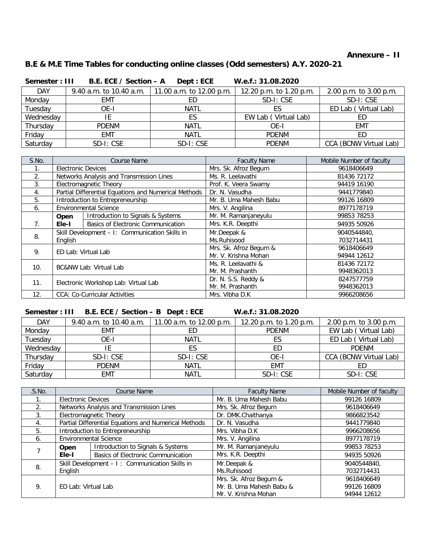#### **Annexure – II**

# **B.E & M.E Time Tables for conducting online classes (Odd semesters) A.Y. 2020-21**

| Semester: III | B.E. ECE / Section - A  | Dept : ECE               | W.e.f.: 31.08.2020      |                        |
|---------------|-------------------------|--------------------------|-------------------------|------------------------|
| <b>DAY</b>    | 9.40 a.m. to 10.40 a.m. | 11.00 a.m. to 12.00 p.m. | 12.20 p.m. to 1.20 p.m. | 2.00 p.m. to 3.00 p.m. |
| Monday        | EMT                     |                          | SD-I: CSE               | SD-I: CSE              |
| Tuesday       | OE-I                    | <b>NATL</b>              | ES.                     | ED Lab (Virtual Lab)   |
| Wednesday     | ΙE                      | ES                       | EW Lab (Virtual Lab)    | ED                     |
| Thursday      | <b>PDENM</b>            | <b>NATL</b>              | OE-I                    | EMT                    |
| Friday        | <b>EMT</b>              | <b>NATL</b>              | <b>PDENM</b>            | ED                     |
| Saturday      | SD-I: CSE               | SD-I: CSE                | <b>PDENM</b>            | CCA (BCNW Virtual Lab) |

| S.No.          | <b>Course Name</b>                             |                                                      | <b>Faculty Name</b>    | Mobile Number of faculty |
|----------------|------------------------------------------------|------------------------------------------------------|------------------------|--------------------------|
|                | <b>Electronic Devices</b>                      |                                                      | Mrs. Sk. Afroz Begum   | 9618406649               |
| 2.             |                                                | Networks Analysis and Transmission Lines             | Ms. R. Leelavathi      | 81436 72172              |
| 3.             |                                                | Electromagnetic Theory                               | Prof. K. Veera Swamy   | 94419 16190              |
| 4.             |                                                | Partial Differential Equations and Numerical Methods | Dr. N. Vasudha         | 9441779840               |
| 5.             |                                                | Introduction to Entrepreneurship                     | Mr. B. Uma Mahesh Babu | 99126 16809              |
| 6.             |                                                | <b>Environmental Science</b>                         | Mrs. V. Angilina       | 8977178719               |
|                | Open                                           | Introduction to Signals & Systems                    | Mr. M. Ramanjaneyulu   | 99853 78253              |
| 7 <sub>1</sub> | Ele-I                                          | <b>Basics of Electronic Communication</b>            | Mrs. K.R. Deepthi      | 94935 50926              |
| 8.             | Skill Development - I: Communication Skills in |                                                      | Mr.Deepak &            | 9040544840,              |
|                | English                                        |                                                      | Ms.Ruhisood            | 7032714431               |
| 9.             |                                                |                                                      | Mrs. Sk. Afroz Begum & | 9618406649               |
|                | ED Lab: Virtual Lab                            |                                                      | Mr. V. Krishna Mohan   | 94944 12612              |
| 10.            | <b>BC&amp;NW Lab: Virtual Lab</b>              |                                                      | Ms. R. Leelavathi &    | 81436 72172              |
|                |                                                |                                                      | Mr. M. Prashanth       | 9948362013               |
| 11.            | Electronic Workshop Lab: Virtual Lab           |                                                      | Dr. N. S.S. Reddy &    | 8247577759               |
|                |                                                |                                                      | Mr. M. Prashanth       | 9948362013               |
| 12.            |                                                | <b>CCA: Co-Curricular Activities</b>                 | Mrs. Vibha D.K         | 9966208656               |

#### **Semester : III B.E. ECE / Section – B Dept : ECE W.e.f.: 31.08.2020**

| <b>DAY</b> | 9.40 a.m. to 10.40 a.m. | 11.00 a.m. to 12.00 p.m. | 12.20 p.m. to 1.20 p.m. | 2.00 p.m. to 3.00 p.m. |
|------------|-------------------------|--------------------------|-------------------------|------------------------|
| Monday     | EMT                     | ED                       | <b>PDENM</b>            | EW Lab (Virtual Lab)   |
| Tuesday    | OE-I                    | <b>NATL</b>              |                         | ED Lab (Virtual Lab)   |
| Wednesday  |                         |                          | ED                      | <b>PDFNM</b>           |
| Thursday   | SD-I: CSE               | SD-I: CSE                | OE-I                    | CCA (BCNW Virtual Lab) |
| Friday     | <b>PDENM</b>            | <b>NATL</b>              | <b>EMT</b>              | ED                     |
| Saturday   | <b>EMT</b>              | NATL                     | SD-I: CSE               | SD-I: CSE              |

| .S.NO.        | <b>Course Name</b>        |                                                      | <b>Faculty Name</b>      | Mobile Number of faculty |
|---------------|---------------------------|------------------------------------------------------|--------------------------|--------------------------|
|               | <b>Electronic Devices</b> |                                                      | Mr. B. Uma Mahesh Babu   | 99126 16809              |
| 2.            |                           | Networks Analysis and Transmission Lines             | Mrs. Sk. Afroz Begum     | 9618406649               |
| $\mathcal{R}$ |                           | Electromagnetic Theory                               | Dr. DMK.Chaithanya       | 9866823542               |
| 4.            |                           | Partial Differential Equations and Numerical Methods | Dr. N. Vasudha           | 9441779840               |
| 5.            |                           | Introduction to Entrepreneurship                     | Mrs. Vibha D.K           | 9966208656               |
| 6.            |                           | <b>Environmental Science</b>                         | Mrs. V. Angilina         | 8977178719               |
|               | Open                      | Introduction to Signals & Systems                    | Mr. M. Ramanjaneyulu     | 99853 78253              |
|               | Ele-I                     | <b>Basics of Electronic Communication</b>            | Mrs. K.R. Deepthi        | 94935 50926              |
| 8.            |                           | Skill Development - I: Communication Skills in       | Mr.Deepak &              | 9040544840,              |
|               | Enalish                   |                                                      | Ms.Ruhisood              | 7032714431               |
|               |                           |                                                      | Mrs. Sk. Afroz Begum &   | 9618406649               |
| 9.            | ED Lab: Virtual Lab       |                                                      | Mr. B. Uma Mahesh Babu & | 99126 16809              |
|               |                           |                                                      | Mr. V. Krishna Mohan     | 94944 12612              |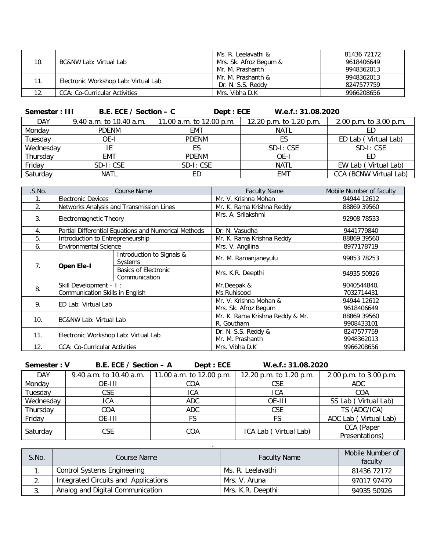|     |                                      | Ms. R. Leelavathi &    | 81436 72172 |
|-----|--------------------------------------|------------------------|-------------|
| 10. | <b>BC&amp;NW Lab: Virtual Lab</b>    | Mrs. Sk. Afroz Begum & | 9618406649  |
|     |                                      | Mr. M. Prashanth       | 9948362013  |
| 11. | Electronic Workshop Lab: Virtual Lab | Mr. M. Prashanth &     | 9948362013  |
|     |                                      | Dr. N. S.S. Reddy      | 8247577759  |
| 12. | <b>CCA: Co-Curricular Activities</b> | Mrs. Vibha D.K         | 9966208656  |

**Semester : III B.E. ECE / Section – C** Dept : ECE W.e.f.: 31.08.2020

| <b>DAY</b> | 9.40 a.m. to 10.40 a.m. | 11.00 a.m. to 12.00 p.m. | 12.20 p.m. to $1.20$ p.m. | 2.00 p.m. to 3.00 p.m. |
|------------|-------------------------|--------------------------|---------------------------|------------------------|
| Monday     | <b>PDFNM</b>            | EMT                      | <b>NATL</b>               |                        |
| Tuesday    | OE-I                    | <b>PDENM</b>             | ES                        | ED Lab (Virtual Lab)   |
| Wednesday  |                         |                          | SD-I: CSE                 | SD-I: CSE              |
| Thursday   | EMT                     | <b>PDENM</b>             | OE-I                      | ED                     |
| Friday     | SD-I: CSE               | SD-I: CSE                | <b>NATL</b>               | EW Lab (Virtual Lab)   |
| Saturday   | <b>NATL</b>             |                          | <b>EMT</b>                | CCA (BCNW Virtual Lab) |

| .S.NO. | <b>Course Name</b>                   |                                                      | <b>Faculty Name</b>             | Mobile Number of faculty |
|--------|--------------------------------------|------------------------------------------------------|---------------------------------|--------------------------|
|        | <b>Electronic Devices</b>            |                                                      | Mr. V. Krishna Mohan            | 94944 12612              |
| 2.     |                                      | Networks Analysis and Transmission Lines             | Mr. K. Rama Krishna Reddy       | 88869 39560              |
| 3.     | Electromagnetic Theory               |                                                      | Mrs. A. Srilakshmi              | 92908 78533              |
| 4.     |                                      | Partial Differential Equations and Numerical Methods | Dr. N. Vasudha                  | 9441779840               |
| 5.     | Introduction to Entrepreneurship     |                                                      | Mr. K. Rama Krishna Reddy       | 88869 39560              |
| 6.     | <b>Environmental Science</b>         |                                                      | Mrs. V. Angilina                | 8977178719               |
|        | <b>Open Ele-I</b><br>7.              | Introduction to Signals &<br>Systems                 | Mr. M. Ramanjaneyulu            | 99853 78253              |
|        |                                      | <b>Basics of Electronic</b><br>Communication         | Mrs. K.R. Deepthi               | 94935 50926              |
| 8.     | Skill Development - I:               |                                                      | Mr.Deepak &                     | 9040544840,              |
|        | Communication Skills in English      |                                                      | Ms.Ruhisood                     | 7032714431               |
| 9.     | ED Lab: Virtual Lab                  |                                                      | Mr. V. Krishna Mohan &          | 94944 12612              |
|        |                                      |                                                      | Mrs. Sk. Afroz Begum            | 9618406649               |
| 10.    | <b>BC&amp;NW Lab: Virtual Lab</b>    |                                                      | Mr. K. Rama Krishna Reddy & Mr. | 88869 39560              |
|        |                                      |                                                      | R. Goutham                      | 9908433101               |
| 11.    | Electronic Workshop Lab: Virtual Lab |                                                      | Dr. N. S.S. Reddy &             | 8247577759               |
|        |                                      |                                                      | Mr. M. Prashanth                | 9948362013               |
| 12.    | <b>CCA: Co-Curricular Activities</b> |                                                      | Mrs. Vibha D.K                  | 9966208656               |

**Semester : V B.E. ECE / Section – A Dept : ECE W.e.f.: 31.08.2020**

| <b>DAY</b> | 9.40 a.m. to 10.40 a.m. | 11.00 a.m. to 12.00 p.m. | 12.20 p.m. to 1.20 p.m. | 2.00 p.m. to 3.00 p.m. |
|------------|-------------------------|--------------------------|-------------------------|------------------------|
| Monday     | OE-III                  | COA                      | CSE                     | <b>ADC</b>             |
| Tuesday    | <b>CSE</b>              | ICA                      | ICA                     | COA                    |
| Wednesday  | ICA                     | <b>ADC</b>               | OE-III                  | SS Lab (Virtual Lab)   |
| Thursday   | COA                     | <b>ADC</b>               | <b>CSE</b>              | TS (ADC/ICA)           |
| Friday     | OE-III                  |                          | FS                      | ADC Lab (Virtual Lab)  |
|            | <b>CSE</b>              |                          | ICA Lab (Virtual Lab)   | CCA (Paper             |
| Saturday   |                         | COA                      |                         | Presentations)         |

| S.No. | Course Name                          | <b>Faculty Name</b> | Mobile Number of<br>faculty |
|-------|--------------------------------------|---------------------|-----------------------------|
|       | <b>Control Systems Engineering</b>   | Ms. R. Leelavathi   | 81436 72172                 |
|       | Integrated Circuits and Applications | Mrs. V. Aruna       | 97017 97479                 |
| -3.   | Analog and Digital Communication     | Mrs. K.R. Deepthi   | 94935 50926                 |

.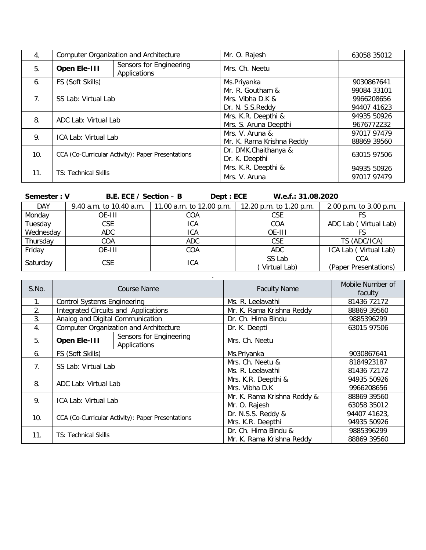| 4.                              | <b>Computer Organization and Architecture</b> |                                                   | Mr. O. Rajesh             | 63058 35012 |
|---------------------------------|-----------------------------------------------|---------------------------------------------------|---------------------------|-------------|
| 5.                              | Open Ele-III                                  | Sensors for Engineering<br>Applications           | Mrs. Ch. Neetu            |             |
| 6.                              | FS (Soft Skills)                              |                                                   | Ms.Priyanka               | 9030867641  |
|                                 |                                               |                                                   | Mr. R. Goutham &          | 99084 33101 |
| $7_{\scriptscriptstyle{\circ}}$ | SS Lab: Virtual Lab                           |                                                   | Mrs. Vibha D.K &          | 9966208656  |
|                                 |                                               |                                                   | Dr. N. S.S. Reddy         | 94407 41623 |
| 8.                              | ADC Lab: Virtual Lab                          |                                                   | Mrs. K.R. Deepthi &       | 94935 50926 |
|                                 |                                               |                                                   | Mrs. S. Aruna Deepthi     | 9676772232  |
| 9.                              | ICA Lab: Virtual Lab                          |                                                   | Mrs. V. Aruna &           | 97017 97479 |
|                                 |                                               |                                                   | Mr. K. Rama Krishna Reddy | 88869 39560 |
| 10 <sub>1</sub>                 |                                               | CCA (Co-Curricular Activity): Paper Presentations | Dr. DMK.Chaithanya &      | 63015 97506 |
|                                 |                                               |                                                   | Dr. K. Deepthi            |             |
| 11.                             |                                               |                                                   | Mrs. K.R. Deepthi &       | 94935 50926 |
|                                 | <b>TS: Technical Skills</b>                   |                                                   | Mrs. V. Aruna             | 97017 97479 |

| Semester: V | B.E. ECE / Section - B  | Dept : ECE               | W.e.f.: 31.08.2020      |                           |
|-------------|-------------------------|--------------------------|-------------------------|---------------------------|
| <b>DAY</b>  | 9.40 a.m. to 10.40 a.m. | 11.00 a.m. to 12.00 p.m. | 12.20 p.m. to 1.20 p.m. | 2.00 p.m. to 3.00 p.m.    |
| Monday      | OE-III                  | COA                      | <b>CSE</b>              |                           |
| Tuesday     | <b>CSE</b>              | ICA                      | COA                     | Virtual Lab)<br>ADC Lab ( |
| Wednesday   | <b>ADC</b>              | ICA                      | OE-III                  |                           |
| Thursday    | COA                     | <b>ADC</b>               | <b>CSE</b>              | TS (ADC/ICA)              |
| Friday      | OE-III                  | COA                      | ADC.                    | ICA Lab (Virtual Lab)     |
|             |                         |                          | SS Lab                  | CCA                       |
| Saturday    | <b>CSE</b>              | ICA                      | Virtual Lab)            | (Paper Presentations)     |

|       |                                                   |                                               |                             | $\mu$ apon resolutations, |
|-------|---------------------------------------------------|-----------------------------------------------|-----------------------------|---------------------------|
|       |                                                   |                                               |                             |                           |
| S.No. | <b>Course Name</b>                                |                                               | <b>Faculty Name</b>         | Mobile Number of          |
|       |                                                   |                                               |                             | faculty                   |
| 1.    | <b>Control Systems Engineering</b>                |                                               | Ms. R. Leelavathi           | 81436 72172               |
| 2.    |                                                   | Integrated Circuits and Applications          | Mr. K. Rama Krishna Reddy   | 88869 39560               |
| 3.    | Analog and Digital Communication                  |                                               | Dr. Ch. Hima Bindu          | 9885396299                |
| 4.    |                                                   | <b>Computer Organization and Architecture</b> | Dr. K. Deepti               | 63015 97506               |
| 5.    | Open Ele-III                                      | Sensors for Engineering<br>Applications       | Mrs. Ch. Neetu              |                           |
| 6.    | FS (Soft Skills)                                  |                                               | Ms.Priyanka                 | 9030867641                |
|       |                                                   |                                               | Mrs. Ch. Neetu &            | 8184923187                |
| 7.    | SS Lab: Virtual Lab                               |                                               | Ms. R. Leelavathi           | 81436 72172               |
| 8.    |                                                   |                                               | Mrs. K.R. Deepthi &         | 94935 50926               |
|       | ADC Lab: Virtual Lab                              |                                               | Mrs. Vibha D.K              | 9966208656                |
| 9.    |                                                   |                                               | Mr. K. Rama Krishna Reddy & | 88869 39560               |
|       | ICA Lab: Virtual Lab                              |                                               | Mr. O. Rajesh               | 63058 35012               |
| 10.   | CCA (Co-Curricular Activity): Paper Presentations |                                               | Dr. N.S.S. Reddy &          | 94407 41623,              |
|       |                                                   |                                               | Mrs. K.R. Deepthi           | 94935 50926               |
| 11.   | <b>TS: Technical Skills</b>                       |                                               | Dr. Ch. Hima Bindu &        | 9885396299                |
|       |                                                   |                                               | Mr. K. Rama Krishna Reddy   | 88869 39560               |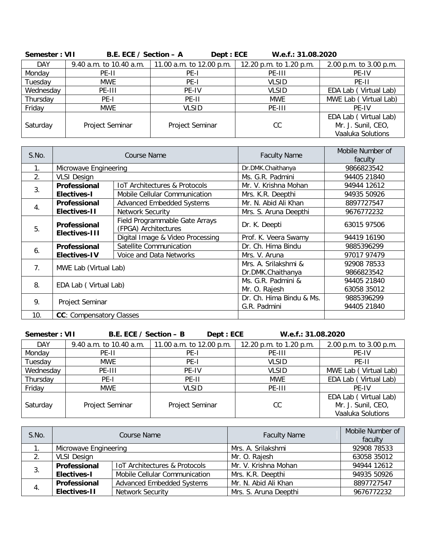| JEHICSIEL . VII | $P.E.E. 1917 250101 - A$ | DENI.LVL                 | <b>W.C.I JI.VO.ZUZU</b> |                                                                  |
|-----------------|--------------------------|--------------------------|-------------------------|------------------------------------------------------------------|
| <b>DAY</b>      | 9.40 a.m. to 10.40 a.m.  | 11.00 a.m. to 12.00 p.m. | 12.20 p.m. to 1.20 p.m. | 2.00 p.m. to 3.00 p.m.                                           |
| Monday          | PE-II                    | PE-I                     | PE-III                  | PE-IV                                                            |
| Tuesday         | <b>MWE</b>               | PE-I                     | <b>VLSID</b>            | PE-II                                                            |
| Wednesday       | PE-III                   | PE-IV                    | <b>VLSID</b>            | EDA Lab (Virtual Lab)                                            |
| Thursday        | PE-I                     | PE-II                    | <b>MWE</b>              | MWE Lab (Virtual Lab)                                            |
| Friday          | <b>MWE</b>               | <b>VLSID</b>             | PE-III                  | PF-IV                                                            |
| Saturday        | Project Seminar          | Project Seminar          | CC                      | EDA Lab (Virtual Lab)<br>Mr. J. Sunil, CEO,<br>Vaaluka Solutions |
|                 |                          |                          |                         |                                                                  |

| Semester: VII | B.E. ECE / Section $-$ A | Dept: ECE | W.e.f.: 31.08.2020 |
|---------------|--------------------------|-----------|--------------------|
|---------------|--------------------------|-----------|--------------------|

| S.No.                 | Course Name                          |                                                        | <b>Faculty Name</b>      | Mobile Number of<br>faculty |
|-----------------------|--------------------------------------|--------------------------------------------------------|--------------------------|-----------------------------|
| 1.                    | Microwave Engineering                |                                                        | Dr.DMK.Chaithanya        | 9866823542                  |
| 2.                    | <b>VLSI Design</b>                   |                                                        | Ms. G.R. Padmini         | 94405 21840                 |
| 3.                    | Professional                         | <b>IoT Architectures &amp; Protocols</b>               | Mr. V. Krishna Mohan     | 94944 12612                 |
|                       | <b>Electives-I</b>                   | Mobile Cellular Communication                          | Mrs. K.R. Deepthi        | 94935 50926                 |
| 4.                    | Professional                         | <b>Advanced Embedded Systems</b>                       | Mr. N. Abid Ali Khan     | 8897727547                  |
|                       | Electives-11                         | <b>Network Security</b>                                | Mrs. S. Aruna Deepthi    | 9676772232                  |
| 5.                    | Professional<br><b>Electives-III</b> | Field Programmable Gate Arrays<br>(FPGA) Architectures | Dr. K. Deepti            | 63015 97506                 |
|                       |                                      | Digital Image & Video Processing                       | Prof. K. Veera Swamy     | 94419 16190                 |
| 6.                    | Professional                         | Satellite Communication                                | Dr. Ch. Hima Bindu       | 9885396299                  |
|                       | <b>Electives-IV</b>                  | Voice and Data Networks                                | Mrs. V. Aruna            | 97017 97479                 |
| 7 <sub>1</sub>        | MWE Lab (Virtual Lab)                |                                                        | Mrs. A. Srilakshmi &     | 92908 78533                 |
|                       |                                      |                                                        | Dr.DMK.Chaithanya        | 9866823542                  |
|                       | 8.<br>EDA Lab (Virtual Lab)          |                                                        | Ms. G.R. Padmini &       | 94405 21840                 |
|                       |                                      |                                                        | Mr. O. Rajesh            | 63058 35012                 |
| 9.<br>Project Seminar |                                      |                                                        | Dr. Ch. Hima Bindu & Ms. | 9885396299                  |
|                       |                                      |                                                        | G.R. Padmini             | 94405 21840                 |
| 10.                   | <b>CC:</b> Compensatory Classes      |                                                        |                          |                             |

| Semester: VII | B.E. ECE / Section - B  |                          | Dept : ECE | W.e.f.: 31.08.2020      |                           |
|---------------|-------------------------|--------------------------|------------|-------------------------|---------------------------|
| <b>DAY</b>    | 9.40 a.m. to 10.40 a.m. | 11.00 a.m. to 12.00 p.m. |            | 12.20 p.m. to 1.20 p.m. | 2.00 p.m. to 3.00 p.m.    |
| Monday        | PE-II                   | PE-I                     |            | PE-III                  | PE-IV                     |
| Tuesday       | <b>MWE</b>              | PE-I                     |            | <b>VLSID</b>            | PE-II                     |
| Wednesday     | PE-III                  | PE-IV                    |            | <b>VLSID</b>            | Virtual Lab)<br>MWE Lab ( |
| Thursday      | PE-I                    | PE-II                    |            | <b>MWE</b>              | EDA Lab (Virtual Lab)     |
| Friday        | <b>MWE</b>              | <b>VLSID</b>             |            | PE-III                  | PF-IV                     |
|               |                         |                          |            |                         | EDA Lab (Virtual Lab)     |
| Saturday      | Project Seminar         | Project Seminar          |            | CC                      | Mr. J. Sunil, CEO,        |
|               |                         |                          |            |                         | Vaaluka Solutions         |

| S.No. | Course Name           |                                          | <b>Faculty Name</b>   | Mobile Number of<br>faculty |
|-------|-----------------------|------------------------------------------|-----------------------|-----------------------------|
|       | Microwave Engineering |                                          | Mrs. A. Srilakshmi    | 92908 78533                 |
|       | <b>VLSI Design</b>    |                                          | Mr. O. Rajesh         | 63058 35012                 |
| 3.    | Professional          | <b>IoT Architectures &amp; Protocols</b> | Mr. V. Krishna Mohan  | 94944 12612                 |
|       | <b>Electives-I</b>    | Mobile Cellular Communication            | Mrs. K.R. Deepthi     | 94935 50926                 |
| 4.    | Professional          | <b>Advanced Embedded Systems</b>         | Mr. N. Abid Ali Khan  | 8897727547                  |
|       | <b>Electives-II</b>   | Network Security                         | Mrs. S. Aruna Deepthi | 9676772232                  |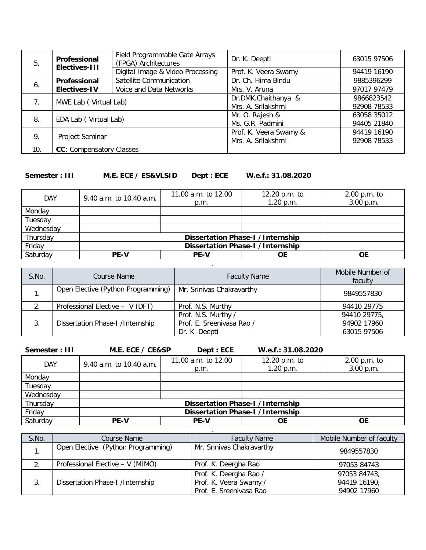| 5.                                      | Professional<br><b>Electives-III</b> | Field Programmable Gate Arrays<br>(FPGA) Architectures | Dr. K. Deepti          | 63015 97506 |
|-----------------------------------------|--------------------------------------|--------------------------------------------------------|------------------------|-------------|
|                                         |                                      | Digital Image & Video Processing                       | Prof. K. Veera Swamy   | 94419 16190 |
| 6.                                      | Professional                         | Satellite Communication                                | Dr. Ch. Hima Bindu     | 9885396299  |
|                                         | <b>Electives-IV</b>                  | Voice and Data Networks                                | Mrs. V. Aruna          | 97017 97479 |
| MWE Lab (Virtual Lab)<br>7 <sub>1</sub> |                                      |                                                        | Dr.DMK.Chaithanya &    | 9866823542  |
|                                         |                                      |                                                        | Mrs. A. Srilakshmi     | 92908 78533 |
| 8.                                      |                                      |                                                        | Mr. O. Rajesh &        | 63058 35012 |
|                                         | EDA Lab (Virtual Lab)                |                                                        | Ms. G.R. Padmini       | 94405 21840 |
| 9.                                      | Project Seminar                      |                                                        | Prof. K. Veera Swamy & | 94419 16190 |
|                                         |                                      |                                                        | Mrs. A. Srilakshmi     | 92908 78533 |
| 10.                                     | <b>CC:</b> Compensatory Classes      |                                                        |                        |             |

#### **Semester : III M.E. ECE / ES&VLSID Dept : ECE W.e.f.: 31.08.2020**

| <b>DAY</b> | 9.40 a.m. to 10.40 a.m.                 | 11.00 a.m. to 12.00              | 12.20 p.m. to | $2.00$ p.m. to |
|------------|-----------------------------------------|----------------------------------|---------------|----------------|
|            |                                         | p.m.                             | 1.20 p.m.     | 3.00 p.m.      |
| Monday     |                                         |                                  |               |                |
| Tuesday    |                                         |                                  |               |                |
| Wednesday  |                                         |                                  |               |                |
| Thursday   |                                         | Dissertation Phase-I /Internship |               |                |
| Friday     | <b>Dissertation Phase-I /Internship</b> |                                  |               |                |
| Saturday   | <b>PE-V</b>                             | <b>PE-V</b>                      | ΟE            | <b>OE</b>      |

| S.No. | Course Name                        | <b>Faculty Name</b>                        | Mobile Number of<br>faculty |
|-------|------------------------------------|--------------------------------------------|-----------------------------|
|       | Open Elective (Python Programming) | Mr. Srinivas Chakravarthy                  | 9849557830                  |
| 2.    | Professional Elective - V (DFT)    | Prof. N.S. Murthy                          | 94410 29775                 |
|       |                                    | Prof. N.S. Murthy /                        | 94410 29775,                |
| 3.    | Dissertation Phase-I /Internship   | Prof. E. Sreenivasa Rao /<br>Dr. K. Deepti | 94902 17960<br>63015 97506  |

.

**Semester : III M.E. ECE / CE&SP Dept : ECE W.e.f.: 31.08.2020** DAY 9.40 a.m. to 10.40 a.m. 11.00 a.m. to 12.00 p.m. 12.20 p.m. to 1.20 p.m. 2.00 p.m. to 3.00 p.m. Monday Tuesday Wednesday<br>Thursday Thursday **Dissertation Phase-I /Internship**<br>
Friday **Dissertation Phase-I /Internship** Friday **Dissertation Phase-I /Internship**<br>
Saturday **PE-V** PE-V OE Saturday **PE-V PE-V OE OE**

| S.No. | Course Name                        | <b>Faculty Name</b>                                                         | Mobile Number of faculty                    |
|-------|------------------------------------|-----------------------------------------------------------------------------|---------------------------------------------|
|       | Open Elective (Python Programming) | Mr. Srinivas Chakravarthy                                                   | 9849557830                                  |
|       | Professional Elective - V (MIMO)   | Prof. K. Deergha Rao                                                        | 97053 84743                                 |
| 3.    | Dissertation Phase-I /Internship   | Prof. K. Deergha Rao /<br>Prof. K. Veera Swamy /<br>Prof. E. Sreenivasa Rao | 97053 84743,<br>94419 16190,<br>94902 17960 |